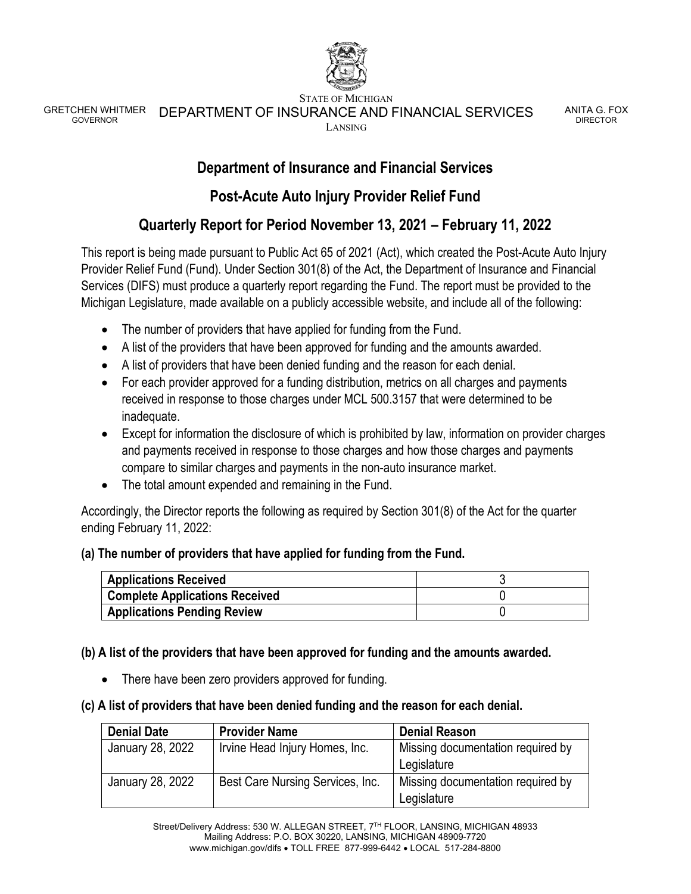

STATE OF MICHIGAN

GRETCHEN WHITMER<br>GOVERNOR DEPARTMENT OF INSURANCE AND FINANCIAL SERVICES LANSING

ANITA G. FOX DIRECTOR

## **Department of Insurance and Financial Services**

## **Post-Acute Auto Injury Provider Relief Fund**

# **Quarterly Report for Period November 13, 2021 – February 11, 2022**

This report is being made pursuant to Public Act 65 of 2021 (Act), which created the Post-Acute Auto Injury Provider Relief Fund (Fund). Under Section 301(8) of the Act, the Department of Insurance and Financial Services (DIFS) must produce a quarterly report regarding the Fund. The report must be provided to the Michigan Legislature, made available on a publicly accessible website, and include all of the following:

- The number of providers that have applied for funding from the Fund.
- A list of the providers that have been approved for funding and the amounts awarded.
- A list of providers that have been denied funding and the reason for each denial.
- For each provider approved for a funding distribution, metrics on all charges and payments received in response to those charges under MCL 500.3157 that were determined to be inadequate.
- Except for information the disclosure of which is prohibited by law, information on provider charges and payments received in response to those charges and how those charges and payments compare to similar charges and payments in the non-auto insurance market.
- The total amount expended and remaining in the Fund.

Accordingly, the Director reports the following as required by Section 301(8) of the Act for the quarter ending February 11, 2022:

### **(a) The number of providers that have applied for funding from the Fund.**

| <b>Applications Received</b>          |  |
|---------------------------------------|--|
| <b>Complete Applications Received</b> |  |
| <b>Applications Pending Review</b>    |  |

### **(b) A list of the providers that have been approved for funding and the amounts awarded.**

• There have been zero providers approved for funding.

### **(c) A list of providers that have been denied funding and the reason for each denial.**

| <b>Denial Date</b> | <b>Provider Name</b>             | <b>Denial Reason</b>              |
|--------------------|----------------------------------|-----------------------------------|
| January 28, 2022   | Irvine Head Injury Homes, Inc.   | Missing documentation required by |
|                    |                                  | Legislature                       |
| January 28, 2022   | Best Care Nursing Services, Inc. | Missing documentation required by |
|                    |                                  | Legislature                       |